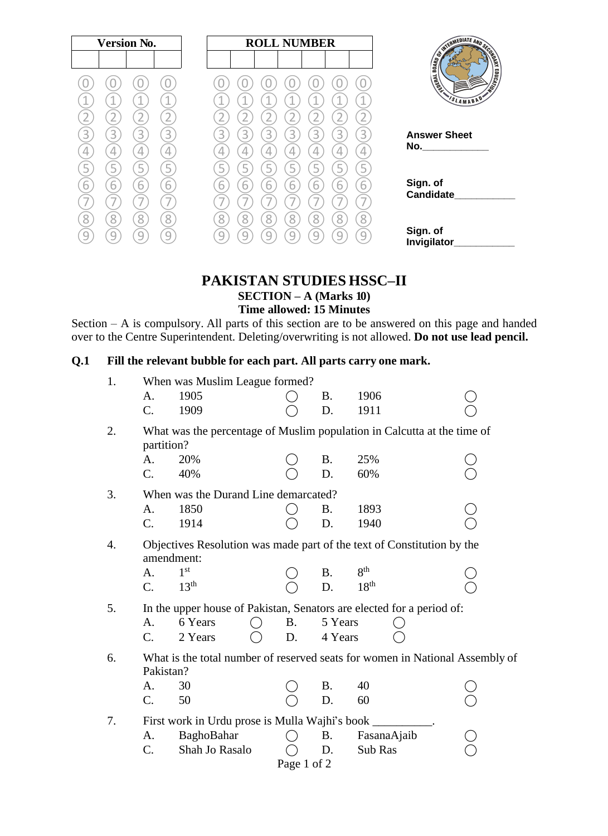| <b>Version No.</b> | <b>ROLL NUMBER</b>              |                                                                                                                        |  |  |
|--------------------|---------------------------------|------------------------------------------------------------------------------------------------------------------------|--|--|
|                    |                                 | <b>CONTROLLATE AND SCORE AND SCORE AND SCORE AND SCORE AND SCORE AND SCORE AND SCORE AND SCORE AND SCORE AND SCORE</b> |  |  |
|                    |                                 | <b>LEDUCATION</b><br><b>THERE</b>                                                                                      |  |  |
| и                  |                                 | SLAMABAD                                                                                                               |  |  |
|                    |                                 |                                                                                                                        |  |  |
| 3<br>3<br>3<br>К   | 3<br>3<br>3<br>3<br>3<br>3<br>ς | <b>Answer Sheet</b>                                                                                                    |  |  |
| 4<br>4             |                                 | No. <u>________________</u>                                                                                            |  |  |
| 5<br>5             | 5                               |                                                                                                                        |  |  |
| 6<br>6<br>6        | 6<br>6<br>h                     | Sign. of                                                                                                               |  |  |
|                    |                                 | <b>Candidate</b>                                                                                                       |  |  |
| 8<br>8<br>8        | Զ<br>Զ<br>Զ<br>Զ<br>Ջ<br>8<br>Զ |                                                                                                                        |  |  |
| q                  | q                               | Sign. of<br>Invigilator                                                                                                |  |  |

#### **PAKISTAN STUDIES HSSC–II SECTION – A (Marks 10) Time allowed: 15 Minutes**

Section – A is compulsory. All parts of this section are to be answered on this page and handed over to the Centre Superintendent. Deleting/overwriting is not allowed. **Do not use lead pencil.**

| Q <sub>1</sub> | Fill the relevant bubble for each part. All parts carry one mark. |                                                                                       |                                                                                      |  |             |           |                  |  |  |  |
|----------------|-------------------------------------------------------------------|---------------------------------------------------------------------------------------|--------------------------------------------------------------------------------------|--|-------------|-----------|------------------|--|--|--|
|                | 1.                                                                |                                                                                       | When was Muslim League formed?                                                       |  |             |           |                  |  |  |  |
|                |                                                                   | A.                                                                                    | 1905                                                                                 |  |             | <b>B.</b> | 1906             |  |  |  |
|                |                                                                   | $\mathcal{C}$ .                                                                       | 1909                                                                                 |  |             | D.        | 1911             |  |  |  |
|                | 2.                                                                | What was the percentage of Muslim population in Calcutta at the time of<br>partition? |                                                                                      |  |             |           |                  |  |  |  |
|                |                                                                   | A.                                                                                    | 20%                                                                                  |  |             | <b>B.</b> | 25%              |  |  |  |
|                |                                                                   | $C_{\cdot}$                                                                           | 40%                                                                                  |  |             | D.        | 60%              |  |  |  |
|                | 3.                                                                |                                                                                       | When was the Durand Line demarcated?                                                 |  |             |           |                  |  |  |  |
|                |                                                                   | A.                                                                                    | 1850                                                                                 |  |             | <b>B.</b> | 1893             |  |  |  |
|                |                                                                   | C.                                                                                    | 1914                                                                                 |  |             | D.        | 1940             |  |  |  |
|                | 4.                                                                |                                                                                       | Objectives Resolution was made part of the text of Constitution by the<br>amendment: |  |             |           |                  |  |  |  |
|                |                                                                   | A.                                                                                    | 1 <sup>st</sup>                                                                      |  |             | <b>B.</b> | 8 <sup>th</sup>  |  |  |  |
|                |                                                                   | $\mathcal{C}$ .                                                                       | 13 <sup>th</sup>                                                                     |  |             | D.        | 18 <sup>th</sup> |  |  |  |
|                | 5.                                                                |                                                                                       | In the upper house of Pakistan, Senators are elected for a period of:                |  |             |           |                  |  |  |  |
|                |                                                                   | A.                                                                                    | 6 Years                                                                              |  | <b>B.</b>   | 5 Years   |                  |  |  |  |
|                |                                                                   | C <sub>r</sub>                                                                        | 2 Years                                                                              |  | D.          | 4 Years   |                  |  |  |  |
|                | 6.                                                                | Pakistan?                                                                             | What is the total number of reserved seats for women in National Assembly of         |  |             |           |                  |  |  |  |
|                |                                                                   | A.                                                                                    | 30                                                                                   |  |             | <b>B.</b> | 40               |  |  |  |
|                |                                                                   | C.                                                                                    | 50                                                                                   |  |             | D.        | 60               |  |  |  |
|                | 7.                                                                | First work in Urdu prose is Mulla Wajhi's book                                        |                                                                                      |  |             |           |                  |  |  |  |
|                |                                                                   | A.                                                                                    | BaghoBahar                                                                           |  |             | <b>B.</b> | FasanaAjaib      |  |  |  |
|                |                                                                   | C.                                                                                    | Shah Jo Rasalo                                                                       |  |             | D.        | Sub Ras          |  |  |  |
|                |                                                                   |                                                                                       |                                                                                      |  | Page 1 of 2 |           |                  |  |  |  |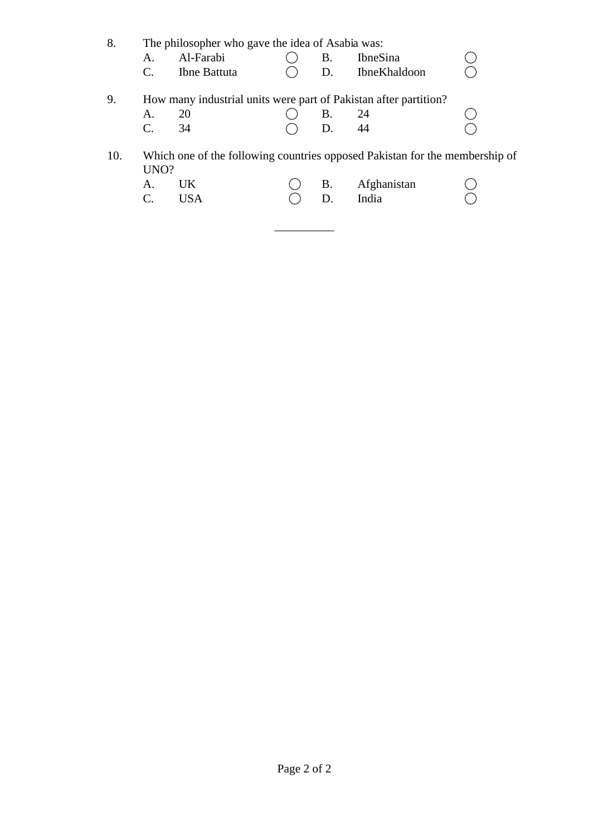| 8.  | $\mathsf{A}$ .<br>C. | The philosopher who gave the idea of Asabia was:<br>Al-Farabi<br>Ibne Battuta | Β.<br>D. | <b>IbneSina</b><br><b>IbneKhaldoon</b>                                                              |  |
|-----|----------------------|-------------------------------------------------------------------------------|----------|-----------------------------------------------------------------------------------------------------|--|
| 9.  | Α.<br>C.             | How many industrial units were part of Pakistan after partition?<br>20<br>34  | Β.<br>D. | 24<br>44                                                                                            |  |
| 10. | UNO?<br>$A_{\cdot}$  | UK.<br><b>USA</b>                                                             | Β.<br>D. | Which one of the following countries opposed Pakistan for the membership of<br>Afghanistan<br>India |  |

 $\overline{\phantom{a}}$  , where  $\overline{\phantom{a}}$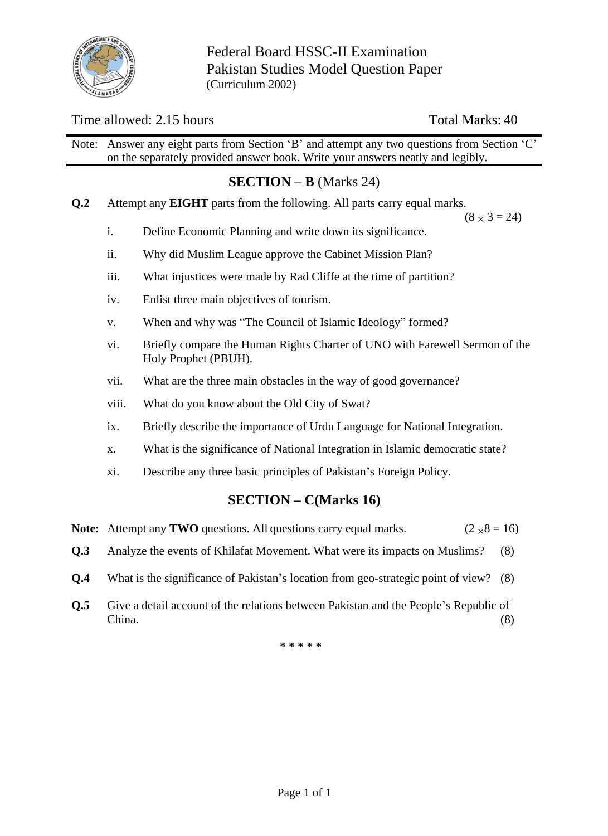

Federal Board HSSC-II Examination Pakistan Studies Model Question Paper (Curriculum 2002)

#### Time allowed: 2.15 hours Total Marks: 40

Note: Answer any eight parts from Section 'B' and attempt any two questions from Section 'C' on the separately provided answer book. Write your answers neatly and legibly.

# **SECTION – B** (Marks 24)

**Q.2** Attempt any **EIGHT** parts from the following. All parts carry equal marks.

 $(8 \times 3 = 24)$ 

- i. Define Economic Planning and write down its significance.
- ii. Why did Muslim League approve the Cabinet Mission Plan?
- iii. What injustices were made by Rad Cliffe at the time of partition?
- iv. Enlist three main objectives of tourism.
- v. When and why was "The Council of Islamic Ideology" formed?
- vi. Briefly compare the Human Rights Charter of UNO with Farewell Sermon of the Holy Prophet (PBUH).
- vii. What are the three main obstacles in the way of good governance?
- viii. What do you know about the Old City of Swat?
- ix. Briefly describe the importance of Urdu Language for National Integration.
- x. What is the significance of National Integration in Islamic democratic state?
- xi. Describe any three basic principles of Pakistan's Foreign Policy.

### **SECTION – C(Marks 16)**

|  | Note: Attempt any TWO questions. All questions carry equal marks. | $(2 \times 8 = 16)$ |
|--|-------------------------------------------------------------------|---------------------|
|--|-------------------------------------------------------------------|---------------------|

- **Q.3** Analyze the events of Khilafat Movement. What were its impacts on Muslims? (8)
- **Q.4** What is the significance of Pakistan's location from geo-strategic point of view? (8)
- **Q.5** Give a detail account of the relations between Pakistan and the People's Republic of China. (8)

**\* \* \* \* \***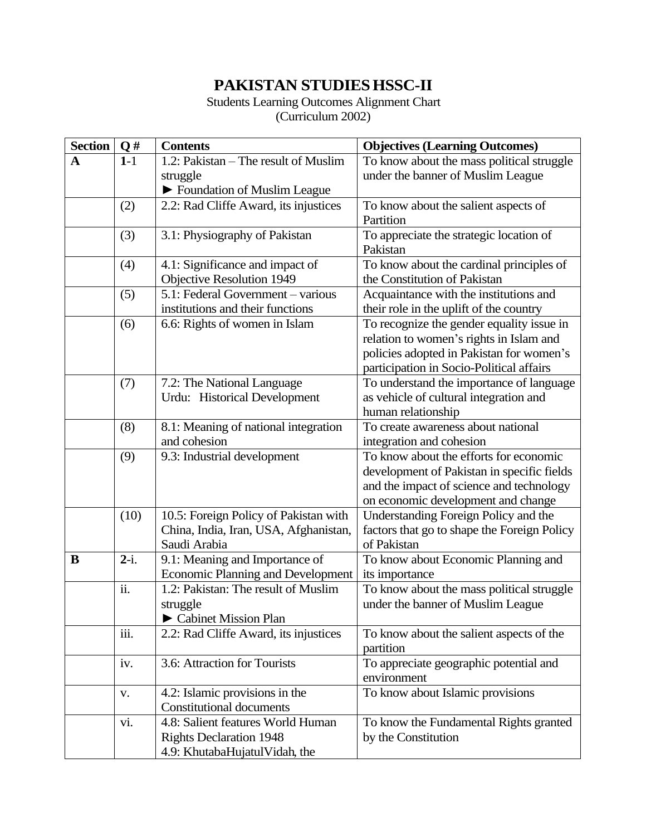# **PAKISTAN STUDIESHSSC-II**

Students Learning Outcomes Alignment Chart (Curriculum 2002)

| <b>Section</b> | Q#      | <b>Contents</b>                          | <b>Objectives (Learning Outcomes)</b>       |  |  |  |  |
|----------------|---------|------------------------------------------|---------------------------------------------|--|--|--|--|
| $\mathbf A$    | $1-1$   | 1.2: Pakistan – The result of Muslim     | To know about the mass political struggle   |  |  |  |  |
|                |         | struggle                                 | under the banner of Muslim League           |  |  |  |  |
|                |         | ► Foundation of Muslim League            |                                             |  |  |  |  |
|                | (2)     | 2.2: Rad Cliffe Award, its injustices    | To know about the salient aspects of        |  |  |  |  |
|                |         |                                          | Partition                                   |  |  |  |  |
|                | (3)     | 3.1: Physiography of Pakistan            | To appreciate the strategic location of     |  |  |  |  |
|                |         |                                          | Pakistan                                    |  |  |  |  |
|                | (4)     | 4.1: Significance and impact of          | To know about the cardinal principles of    |  |  |  |  |
|                |         | Objective Resolution 1949                | the Constitution of Pakistan                |  |  |  |  |
|                | (5)     | 5.1: Federal Government - various        | Acquaintance with the institutions and      |  |  |  |  |
|                |         | institutions and their functions         | their role in the uplift of the country     |  |  |  |  |
|                | (6)     | 6.6: Rights of women in Islam            | To recognize the gender equality issue in   |  |  |  |  |
|                |         |                                          | relation to women's rights in Islam and     |  |  |  |  |
|                |         |                                          | policies adopted in Pakistan for women's    |  |  |  |  |
|                |         |                                          | participation in Socio-Political affairs    |  |  |  |  |
|                | (7)     | 7.2: The National Language               | To understand the importance of language    |  |  |  |  |
|                |         | Urdu: Historical Development             | as vehicle of cultural integration and      |  |  |  |  |
|                |         |                                          | human relationship                          |  |  |  |  |
|                | (8)     | 8.1: Meaning of national integration     | To create awareness about national          |  |  |  |  |
|                |         | and cohesion                             | integration and cohesion                    |  |  |  |  |
|                | (9)     | 9.3: Industrial development              | To know about the efforts for economic      |  |  |  |  |
|                |         |                                          | development of Pakistan in specific fields  |  |  |  |  |
|                |         |                                          | and the impact of science and technology    |  |  |  |  |
|                |         |                                          | on economic development and change          |  |  |  |  |
|                | (10)    | 10.5: Foreign Policy of Pakistan with    | Understanding Foreign Policy and the        |  |  |  |  |
|                |         | China, India, Iran, USA, Afghanistan,    | factors that go to shape the Foreign Policy |  |  |  |  |
|                |         | Saudi Arabia                             | of Pakistan                                 |  |  |  |  |
| B              | $2-i$ . | 9.1: Meaning and Importance of           | To know about Economic Planning and         |  |  |  |  |
|                |         | <b>Economic Planning and Development</b> | its importance                              |  |  |  |  |
|                | ii.     | 1.2: Pakistan: The result of Muslim      | To know about the mass political struggle   |  |  |  |  |
|                |         | struggle                                 | under the banner of Muslim League           |  |  |  |  |
|                |         | Cabinet Mission Plan                     |                                             |  |  |  |  |
|                | iii.    | 2.2: Rad Cliffe Award, its injustices    | To know about the salient aspects of the    |  |  |  |  |
|                |         |                                          | partition                                   |  |  |  |  |
|                | iv.     | 3.6: Attraction for Tourists             | To appreciate geographic potential and      |  |  |  |  |
|                |         |                                          | environment                                 |  |  |  |  |
|                | V.      | 4.2: Islamic provisions in the           | To know about Islamic provisions            |  |  |  |  |
|                |         | <b>Constitutional documents</b>          |                                             |  |  |  |  |
|                | vi.     | 4.8: Salient features World Human        | To know the Fundamental Rights granted      |  |  |  |  |
|                |         | <b>Rights Declaration 1948</b>           | by the Constitution                         |  |  |  |  |
|                |         | 4.9: KhutabaHujatulVidah, the            |                                             |  |  |  |  |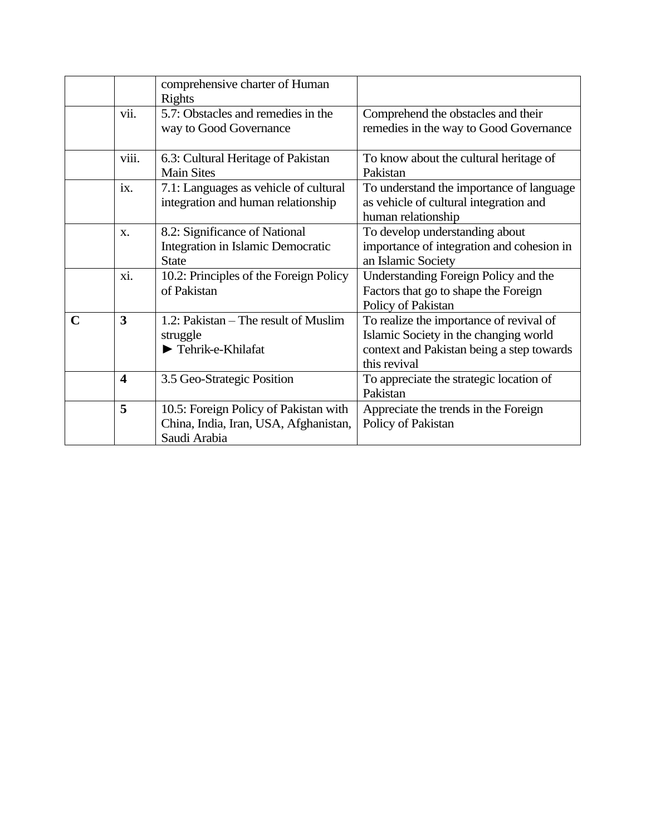|             |                         | comprehensive charter of Human<br><b>Rights</b>                                                |                                                                                                                                               |
|-------------|-------------------------|------------------------------------------------------------------------------------------------|-----------------------------------------------------------------------------------------------------------------------------------------------|
|             | vii.                    | 5.7: Obstacles and remedies in the<br>way to Good Governance                                   | Comprehend the obstacles and their<br>remedies in the way to Good Governance                                                                  |
|             | viii.                   | 6.3: Cultural Heritage of Pakistan<br><b>Main Sites</b>                                        | To know about the cultural heritage of<br>Pakistan                                                                                            |
|             | ix.                     | 7.1: Languages as vehicle of cultural<br>integration and human relationship                    | To understand the importance of language<br>as vehicle of cultural integration and<br>human relationship                                      |
|             | $X$ .                   | 8.2: Significance of National<br>Integration in Islamic Democratic<br><b>State</b>             | To develop understanding about<br>importance of integration and cohesion in<br>an Islamic Society                                             |
|             | xi.                     | 10.2: Principles of the Foreign Policy<br>of Pakistan                                          | Understanding Foreign Policy and the<br>Factors that go to shape the Foreign<br>Policy of Pakistan                                            |
| $\mathbf C$ | 3                       | 1.2: Pakistan – The result of Muslim<br>struggle<br>$\blacktriangleright$ Tehrik-e-Khilafat    | To realize the importance of revival of<br>Islamic Society in the changing world<br>context and Pakistan being a step towards<br>this revival |
|             | $\overline{\mathbf{4}}$ | 3.5 Geo-Strategic Position                                                                     | To appreciate the strategic location of<br>Pakistan                                                                                           |
|             | 5                       | 10.5: Foreign Policy of Pakistan with<br>China, India, Iran, USA, Afghanistan,<br>Saudi Arabia | Appreciate the trends in the Foreign<br>Policy of Pakistan                                                                                    |